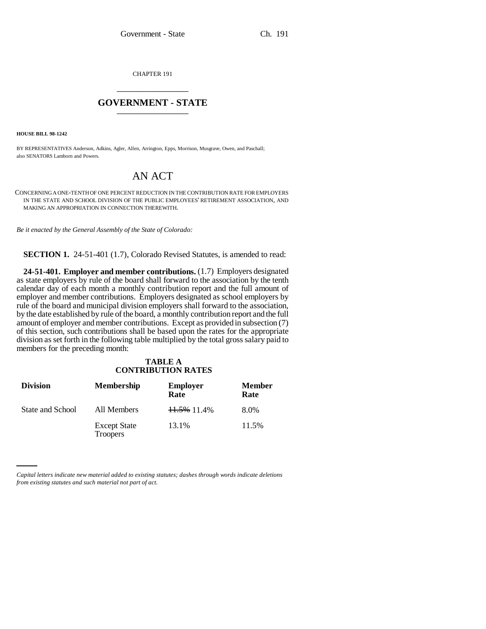CHAPTER 191 \_\_\_\_\_\_\_\_\_\_\_\_\_\_\_

## **GOVERNMENT - STATE** \_\_\_\_\_\_\_\_\_\_\_\_\_\_\_

**HOUSE BILL 98-1242**

BY REPRESENTATIVES Anderson, Adkins, Agler, Allen, Arrington, Epps, Morrison, Musgrave, Owen, and Paschall; also SENATORS Lamborn and Powers.

## AN ACT

CONCERNING A ONE-TENTH OF ONE PERCENT REDUCTION IN THE CONTRIBUTION RATE FOR EMPLOYERS IN THE STATE AND SCHOOL DIVISION OF THE PUBLIC EMPLOYEES' RETIREMENT ASSOCIATION, AND MAKING AN APPROPRIATION IN CONNECTION THEREWITH.

*Be it enacted by the General Assembly of the State of Colorado:*

**SECTION 1.** 24-51-401 (1.7), Colorado Revised Statutes, is amended to read:

**24-51-401. Employer and member contributions.** (1.7) Employers designated as state employers by rule of the board shall forward to the association by the tenth calendar day of each month a monthly contribution report and the full amount of employer and member contributions. Employers designated as school employers by rule of the board and municipal division employers shall forward to the association, by the date established by rule of the board, a monthly contribution report and the full amount of employer and member contributions. Except as provided in subsection (7) of this section, such contributions shall be based upon the rates for the appropriate division as set forth in the following table multiplied by the total gross salary paid to members for the preceding month:

## **TABLE A CONTRIBUTION RATES**

| <b>Division</b>  | <b>Membership</b>                      | <b>Employer</b><br>Rate | <b>Member</b><br>Rate |
|------------------|----------------------------------------|-------------------------|-----------------------|
| State and School | All Members                            | 11.5% 11.4%             | 8.0%                  |
|                  | <b>Except State</b><br><b>Troopers</b> | 13.1%                   | 11.5%                 |

*Capital letters indicate new material added to existing statutes; dashes through words indicate deletions from existing statutes and such material not part of act.*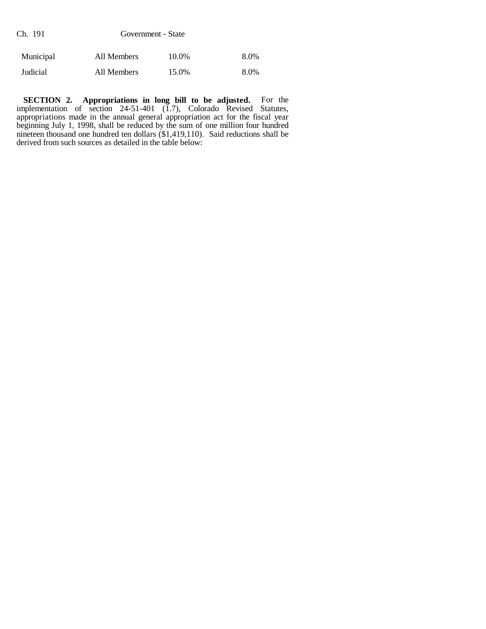| Ch. 191   | Government - State |       |      |
|-----------|--------------------|-------|------|
| Municipal | All Members        | 10.0% | 8.0% |
| Judicial  | All Members        | 15.0% | 8.0% |

**SECTION 2. Appropriations in long bill to be adjusted.** For the implementation of section 24-51-401 (1.7), Colorado Revised Statutes, appropriations made in the annual general appropriation act for the fiscal year beginning July 1, 1998, shall be reduced by the sum of one million four hundred nineteen thousand one hundred ten dollars (\$1,419,110). Said reductions shall be derived from such sources as detailed in the table below: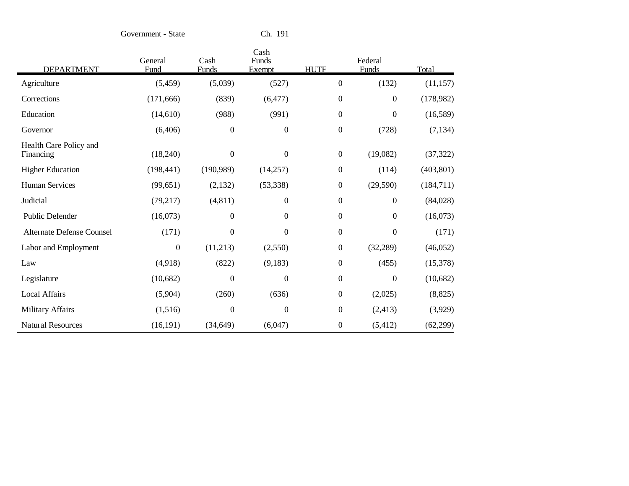Government - State Ch. 191

|                                     | General          | Cash             | Cash<br>Funds    |                  | Federal          |            |
|-------------------------------------|------------------|------------------|------------------|------------------|------------------|------------|
| <b>DEPARTMENT</b>                   | Fund             | Funds            | Exempt           | <b>HUTF</b>      | Funds            | Total      |
| Agriculture                         | (5,459)          | (5,039)          | (527)            | $\mathbf{0}$     | (132)            | (11, 157)  |
| Corrections                         | (171, 666)       | (839)            | (6, 477)         | $\overline{0}$   | $\boldsymbol{0}$ | (178,982)  |
| Education                           | (14,610)         | (988)            | (991)            | $\boldsymbol{0}$ | $\boldsymbol{0}$ | (16, 589)  |
| Governor                            | (6,406)          | $\boldsymbol{0}$ | $\boldsymbol{0}$ | $\boldsymbol{0}$ | (728)            | (7, 134)   |
| Health Care Policy and<br>Financing | (18,240)         | $\boldsymbol{0}$ | $\boldsymbol{0}$ | $\boldsymbol{0}$ | (19,082)         | (37, 322)  |
| <b>Higher Education</b>             | (198, 441)       | (190, 989)       | (14,257)         | $\boldsymbol{0}$ | (114)            | (403, 801) |
| <b>Human Services</b>               | (99, 651)        | (2,132)          | (53, 338)        | $\boldsymbol{0}$ | (29, 590)        | (184, 711) |
| Judicial                            | (79,217)         | (4, 811)         | $\mathbf{0}$     | $\boldsymbol{0}$ | $\boldsymbol{0}$ | (84,028)   |
| Public Defender                     | (16,073)         | $\boldsymbol{0}$ | $\mathbf{0}$     | $\overline{0}$   | $\boldsymbol{0}$ | (16,073)   |
| Alternate Defense Counsel           | (171)            | $\boldsymbol{0}$ | $\boldsymbol{0}$ | $\boldsymbol{0}$ | $\boldsymbol{0}$ | (171)      |
| Labor and Employment                | $\boldsymbol{0}$ | (11,213)         | (2,550)          | $\boldsymbol{0}$ | (32, 289)        | (46,052)   |
| Law                                 | (4,918)          | (822)            | (9,183)          | $\boldsymbol{0}$ | (455)            | (15,378)   |
| Legislature                         | (10,682)         | $\theta$         | $\mathbf{0}$     | $\boldsymbol{0}$ | $\boldsymbol{0}$ | (10,682)   |
| <b>Local Affairs</b>                | (5,904)          | (260)            | (636)            | $\boldsymbol{0}$ | (2,025)          | (8, 825)   |
| <b>Military Affairs</b>             | (1,516)          | $\boldsymbol{0}$ | $\overline{0}$   | $\overline{0}$   | (2, 413)         | (3,929)    |
| <b>Natural Resources</b>            | (16, 191)        | (34, 649)        | (6,047)          | $\boldsymbol{0}$ | (5,412)          | (62, 299)  |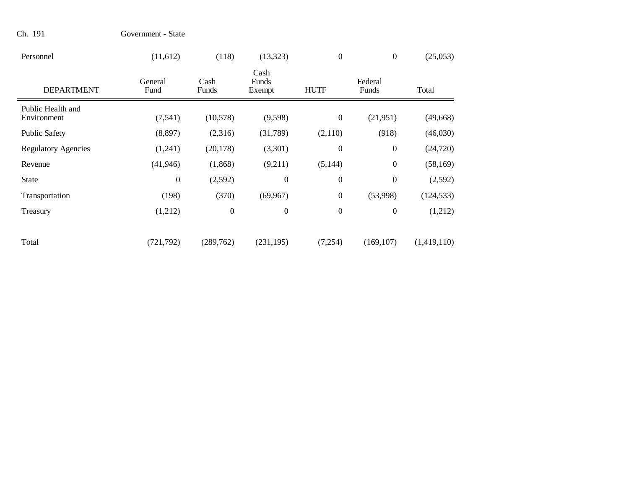| Personnel                        | (11,612)         | (118)            | (13, 323)               | $\mathbf{0}$     | $\overline{0}$   | (25,053)    |
|----------------------------------|------------------|------------------|-------------------------|------------------|------------------|-------------|
| <b>DEPARTMENT</b>                | General<br>Fund  | Cash<br>Funds    | Cash<br>Funds<br>Exempt | <b>HUTF</b>      | Federal<br>Funds | Total       |
| Public Health and<br>Environment | (7, 541)         | (10,578)         | (9,598)                 | $\boldsymbol{0}$ | (21,951)         | (49, 668)   |
| <b>Public Safety</b>             | (8,897)          | (2,316)          | (31,789)                | (2,110)          | (918)            | (46,030)    |
| <b>Regulatory Agencies</b>       | (1,241)          | (20, 178)        | (3,301)                 | $\overline{0}$   | $\boldsymbol{0}$ | (24, 720)   |
| Revenue                          | (41, 946)        | (1,868)          | (9,211)                 | (5,144)          | $\boldsymbol{0}$ | (58, 169)   |
| <b>State</b>                     | $\boldsymbol{0}$ | (2,592)          | $\boldsymbol{0}$        | $\boldsymbol{0}$ | $\boldsymbol{0}$ | (2,592)     |
| Transportation                   | (198)            | (370)            | (69, 967)               | $\boldsymbol{0}$ | (53,998)         | (124, 533)  |
| Treasury                         | (1,212)          | $\boldsymbol{0}$ | $\boldsymbol{0}$        | $\boldsymbol{0}$ | $\boldsymbol{0}$ | (1,212)     |
| Total                            | (721, 792)       | (289,762)        | (231, 195)              | (7,254)          | (169, 107)       | (1,419,110) |

Ch. 191 Government - State